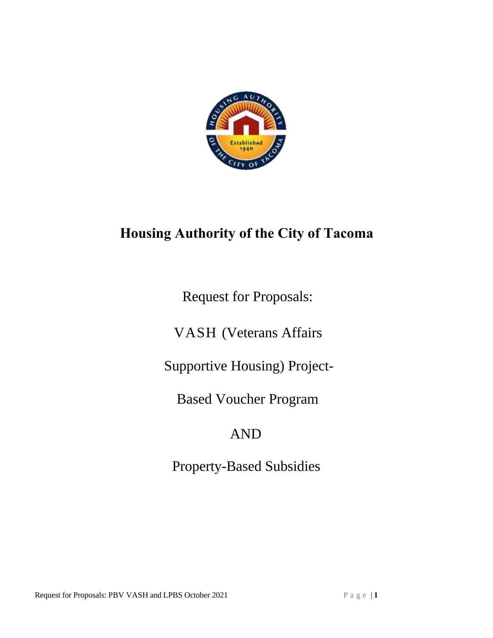

# **Housing Authority of the City of Tacoma**

Request for Proposals:

VASH (Veterans Affairs

Supportive Housing) Project-

Based Voucher Program

# AND

Property-Based Subsidies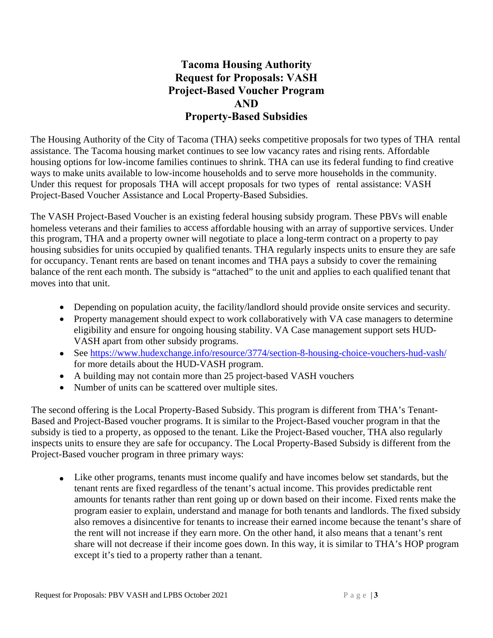# **Tacoma Housing Authority Request for Proposals: VASH Project-Based Voucher Program AND Property-Based Subsidies**

The Housing Authority of the City of Tacoma (THA) seeks competitive proposals for two types of THA rental assistance. The Tacoma housing market continues to see low vacancy rates and rising rents. Affordable housing options for low-income families continues to shrink. THA can use its federal funding to find creative ways to make units available to low-income households and to serve more households in the community. Under this request for proposals THA will accept proposals for two types of rental assistance: VASH Project-Based Voucher Assistance and Local Property-Based Subsidies.

The VASH Project-Based Voucher is an existing federal housing subsidy program. These PBVs will enable homeless veterans and their families to access affordable housing with an array of supportive services. Under this program, THA and a property owner will negotiate to place a long-term contract on a property to pay housing subsidies for units occupied by qualified tenants. THA regularly inspects units to ensure they are safe for occupancy. Tenant rents are based on tenant incomes and THA pays a subsidy to cover the remaining balance of the rent each month. The subsidy is "attached" to the unit and applies to each qualified tenant that moves into that unit.

- Depending on population acuity, the facility/landlord should provide onsite services and security.
- Property management should expect to work collaboratively with VA case managers to determine eligibility and ensure for ongoing housing stability. VA Case management support sets HUD-VASH apart from other subsidy programs.
- See<https://www.hudexchange.info/resource/3774/section-8-housing-choice-vouchers-hud-vash/> for more details about the HUD-VASH program.
- A building may not contain more than 25 project-based VASH vouchers
- Number of units can be scattered over multiple sites.

The second offering is the Local Property-Based Subsidy. This program is different from THA's Tenant-Based and Project-Based voucher programs. It is similar to the Project-Based voucher program in that the subsidy is tied to a property, as opposed to the tenant. Like the Project-Based voucher, THA also regularly inspects units to ensure they are safe for occupancy. The Local Property-Based Subsidy is different from the Project-Based voucher program in three primary ways:

• Like other programs, tenants must income qualify and have incomes below set standards, but the tenant rents are fixed regardless of the tenant's actual income. This provides predictable rent amounts for tenants rather than rent going up or down based on their income. Fixed rents make the program easier to explain, understand and manage for both tenants and landlords. The fixed subsidy also removes a disincentive for tenants to increase their earned income because the tenant's share of the rent will not increase if they earn more. On the other hand, it also means that a tenant's rent share will not decrease if their income goes down. In this way, it is similar to THA's HOP program except it's tied to a property rather than a tenant.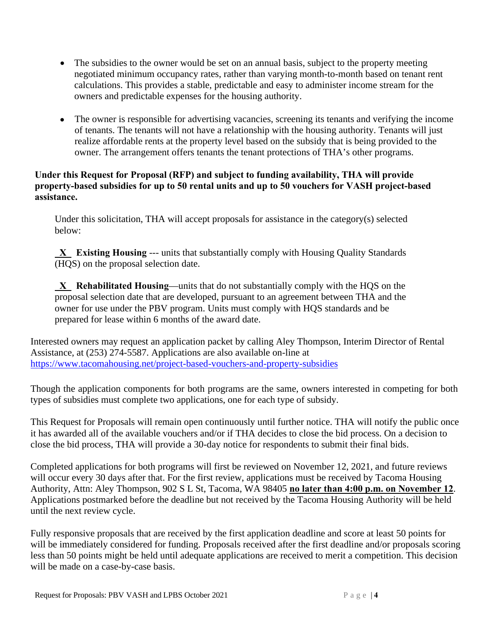- The subsidies to the owner would be set on an annual basis, subject to the property meeting negotiated minimum occupancy rates, rather than varying month-to-month based on tenant rent calculations. This provides a stable, predictable and easy to administer income stream for the owners and predictable expenses for the housing authority.
- The owner is responsible for advertising vacancies, screening its tenants and verifying the income of tenants. The tenants will not have a relationship with the housing authority. Tenants will just realize affordable rents at the property level based on the subsidy that is being provided to the owner. The arrangement offers tenants the tenant protections of THA's other programs.

### **Under this Request for Proposal (RFP) and subject to funding availability, THA will provide property-based subsidies for up to 50 rental units and up to 50 vouchers for VASH project-based assistance.**

Under this solicitation, THA will accept proposals for assistance in the category(s) selected below:

 **X Existing Housing** --- units that substantially comply with Housing Quality Standards (HQS) on the proposal selection date.

 **X Rehabilitated Housing**—units that do not substantially comply with the HQS on the proposal selection date that are developed, pursuant to an agreement between THA and the owner for use under the PBV program. Units must comply with HQS standards and be prepared for lease within 6 months of the award date.

Interested owners may request an application packet by calling Aley Thompson, Interim Director of Rental Assistance, at (253) 274-5587. Applications are also available on-line at <https://www.tacomahousing.net/project-based-vouchers-and-property-subsidies>

Though the application components for both programs are the same, owners interested in competing for both types of subsidies must complete two applications, one for each type of subsidy.

This Request for Proposals will remain open continuously until further notice. THA will notify the public once it has awarded all of the available vouchers and/or if THA decides to close the bid process. On a decision to close the bid process, THA will provide a 30-day notice for respondents to submit their final bids.

Completed applications for both programs will first be reviewed on November 12, 2021, and future reviews will occur every 30 days after that. For the first review, applications must be received by Tacoma Housing Authority, Attn: Aley Thompson, 902 S L St, Tacoma, WA 98405 **no later than 4:00 p.m. on November 12**. Applications postmarked before the deadline but not received by the Tacoma Housing Authority will be held until the next review cycle.

Fully responsive proposals that are received by the first application deadline and score at least 50 points for will be immediately considered for funding. Proposals received after the first deadline and/or proposals scoring less than 50 points might be held until adequate applications are received to merit a competition. This decision will be made on a case-by-case basis.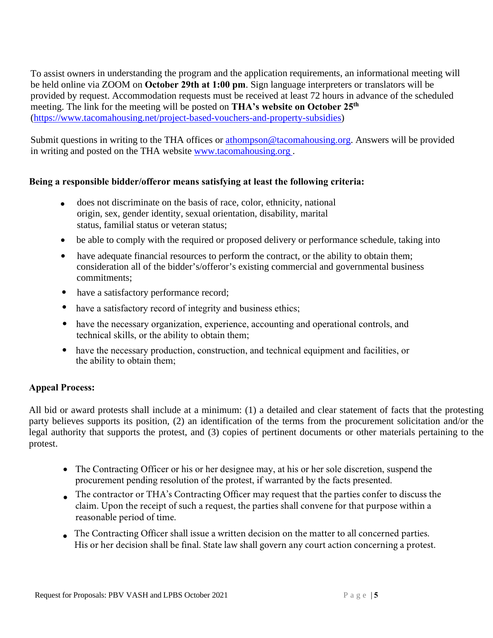To assist owners in understanding the program and the application requirements, an informational meeting will be held online via ZOOM on **October 29th at 1:00 pm**. Sign language interpreters or translators will be provided by request. Accommodation requests must be received at least 72 hours in advance of the scheduled meeting. The link for the meeting will be posted on **THA's website on October 25th** [\(https://www.tacomahousing.net/project-based-vouchers-and-property-subsidies\)](https://www.tacomahousing.net/project-based-vouchers-and-property-subsidies)

Submit questions in writing to the THA offices or [athompson@tacomahousing.org.](mailto:athompson@tacomahousing.org) Answers will be provided in writing and posted on the THA website [www.tacomahousing.org](http://www.tacomahousing.org/) .

### **Being a responsible bidder/offeror means satisfying at least the following criteria:**

- does not discriminate on the basis of race, color, ethnicity, national origin, sex, gender identity, sexual orientation, disability, marital status, familial status or veteran status; •
- be able to comply with the required or proposed delivery or performance schedule, taking into
- have adequate financial resources to perform the contract, or the ability to obtain them; consideration all of the bidder's/offeror's existing commercial and governmental business commitments; •
- have a satisfactory performance record; •
- have a satisfactory record of integrity and business ethics;
- have the necessary organization, experience, accounting and operational controls, and technical skills, or the ability to obtain them;
- have the necessary production, construction, and technical equipment and facilities, or the ability to obtain them;

### **Appeal Process:**

All bid or award protests shall include at a minimum: (1) a detailed and clear statement of facts that the protesting party believes supports its position, (2) an identification of the terms from the procurement solicitation and/or the legal authority that supports the protest, and (3) copies of pertinent documents or other materials pertaining to the protest.

- The Contracting Officer or his or her designee may, at his or her sole discretion, suspend the procurement pending resolution of the protest, if warranted by the facts presented.
- The contractor or THA's Contracting Officer may request that the parties confer to discuss the claim. Upon the receipt of such a request, the parties shall convene for that purpose within a reasonable period of time.
- The Contracting Officer shall issue a written decision on the matter to all concerned parties. His or her decision shall be final. State law shall govern any court action concerning a protest.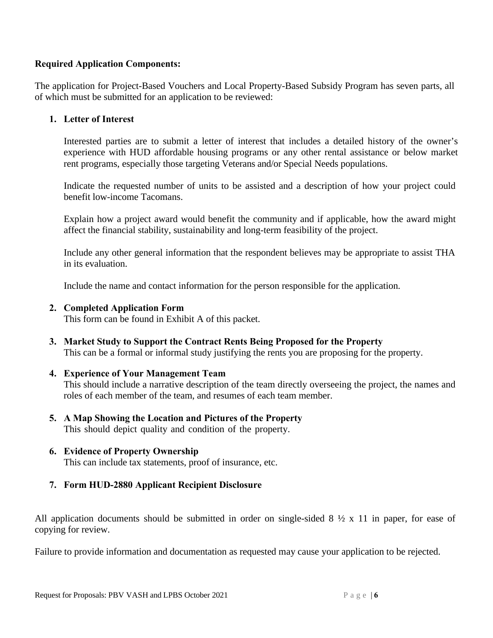### **Required Application Components:**

The application for Project-Based Vouchers and Local Property-Based Subsidy Program has seven parts, all of which must be submitted for an application to be reviewed:

### **1. Letter of Interest**

Interested parties are to submit a letter of interest that includes a detailed history of the owner's experience with HUD affordable housing programs or any other rental assistance or below market rent programs, especially those targeting Veterans and/or Special Needs populations.

Indicate the requested number of units to be assisted and a description of how your project could benefit low-income Tacomans.

Explain how a project award would benefit the community and if applicable, how the award might affect the financial stability, sustainability and long-term feasibility of the project.

Include any other general information that the respondent believes may be appropriate to assist THA in its evaluation.

Include the name and contact information for the person responsible for the application.

### **2. Completed Application Form**

This form can be found in Exhibit A of this packet.

- **3. Market Study to Support the Contract Rents Being Proposed for the Property** This can be a formal or informal study justifying the rents you are proposing for the property.
- 
- **4. Experience of Your Management Team**

This should include a narrative description of the team directly overseeing the project, the names and roles of each member of the team, and resumes of each team member.

- **5. A Map Showing the Location and Pictures of the Property** This should depict quality and condition of the property.
- **6. Evidence of Property Ownership** This can include tax statements, proof of insurance, etc.

### **7. Form HUD-2880 Applicant Recipient Disclosure**

All application documents should be submitted in order on single-sided  $8\frac{1}{2} \times 11$  in paper, for ease of copying for review.

Failure to provide information and documentation as requested may cause your application to be rejected.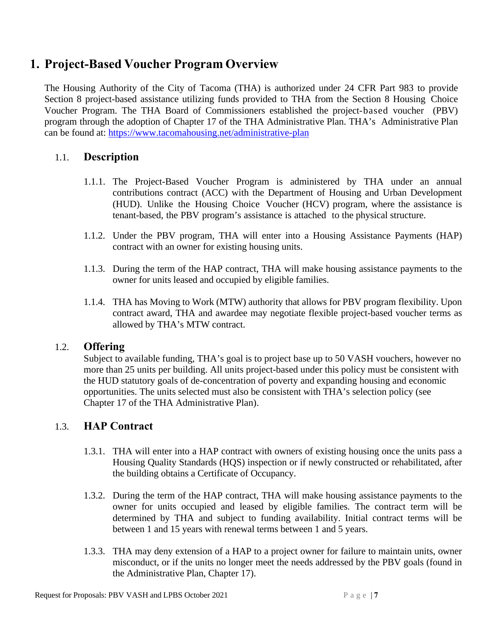# **1. Project-Based Voucher Program Overview**

The Housing Authority of the City of Tacoma (THA) is authorized under 24 CFR Part 983 to provide Section 8 project-based assistance utilizing funds provided to THA from the Section 8 Housing Choice Voucher Program. The THA Board of Commissioners established the project-based voucher (PBV) program through the adoption of Chapter 17 of the THA Administrative Plan. THA's Administrative Plan can be found at: <https://www.tacomahousing.net/administrative-plan>

# 1.1. **Description**

- 1.1.1. The Project-Based Voucher Program is administered by THA under an annual contributions contract (ACC) with the Department of Housing and Urban Development (HUD). Unlike the Housing Choice Voucher (HCV) program, where the assistance is tenant-based, the PBV program's assistance is attached to the physical structure.
- 1.1.2. Under the PBV program, THA will enter into a Housing Assistance Payments (HAP) contract with an owner for existing housing units.
- 1.1.3. During the term of the HAP contract, THA will make housing assistance payments to the owner for units leased and occupied by eligible families.
- 1.1.4. THA has Moving to Work (MTW) authority that allows for PBV program flexibility. Upon contract award, THA and awardee may negotiate flexible project-based voucher terms as allowed by THA's MTW contract.

## 1.2. **Offering**

Subject to available funding, THA's goal is to project base up to 50 VASH vouchers, however no more than 25 units per building. All units project-based under this policy must be consistent with the HUD statutory goals of de-concentration of poverty and expanding housing and economic opportunities. The units selected must also be consistent with THA's selection policy (see Chapter 17 of the THA Administrative Plan).

# 1.3. **HAP Contract**

- 1.3.1. THA will enter into a HAP contract with owners of existing housing once the units pass a Housing Quality Standards (HQS) inspection or if newly constructed or rehabilitated, after the building obtains a Certificate of Occupancy.
- 1.3.2. During the term of the HAP contract, THA will make housing assistance payments to the owner for units occupied and leased by eligible families. The contract term will be determined by THA and subject to funding availability. Initial contract terms will be between 1 and 15 years with renewal terms between 1 and 5 years.
- 1.3.3. THA may deny extension of a HAP to a project owner for failure to maintain units, owner misconduct, or if the units no longer meet the needs addressed by the PBV goals (found in the Administrative Plan, Chapter 17).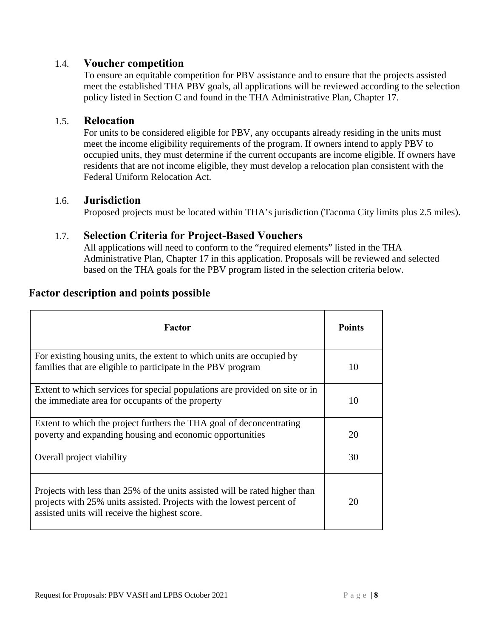### 1.4. **Voucher competition**

To ensure an equitable competition for PBV assistance and to ensure that the projects assisted meet the established THA PBV goals, all applications will be reviewed according to the selection policy listed in Section C and found in the THA Administrative Plan, Chapter 17.

### 1.5. **Relocation**

For units to be considered eligible for PBV, any occupants already residing in the units must meet the income eligibility requirements of the program. If owners intend to apply PBV to occupied units, they must determine if the current occupants are income eligible. If owners have residents that are not income eligible, they must develop a relocation plan consistent with the Federal Uniform Relocation Act.

### 1.6. **Jurisdiction**

Proposed projects must be located within THA's jurisdiction (Tacoma City limits plus 2.5 miles).

## 1.7. **Selection Criteria for Project-Based Vouchers**

All applications will need to conform to the "required elements" listed in the THA Administrative Plan, Chapter 17 in this application. Proposals will be reviewed and selected based on the THA goals for the PBV program listed in the selection criteria below.

| <b>Factor description and points possible</b> |  |  |
|-----------------------------------------------|--|--|
|-----------------------------------------------|--|--|

| <b>Factor</b>                                                                                                                                                                                          | <b>Points</b> |
|--------------------------------------------------------------------------------------------------------------------------------------------------------------------------------------------------------|---------------|
| For existing housing units, the extent to which units are occupied by<br>families that are eligible to participate in the PBV program                                                                  | 10            |
| Extent to which services for special populations are provided on site or in<br>the immediate area for occupants of the property                                                                        | 10            |
| Extent to which the project furthers the THA goal of deconcentrating<br>poverty and expanding housing and economic opportunities                                                                       | 20            |
| Overall project viability                                                                                                                                                                              | 30            |
| Projects with less than 25% of the units assisted will be rated higher than<br>projects with 25% units assisted. Projects with the lowest percent of<br>assisted units will receive the highest score. | 20            |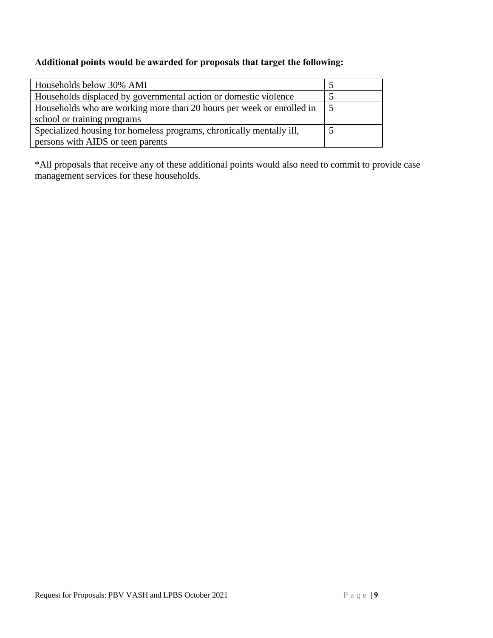### **Additional points would be awarded for proposals that target the following:**

| Households below 30% AMI                                              |  |
|-----------------------------------------------------------------------|--|
| Households displaced by governmental action or domestic violence      |  |
| Households who are working more than 20 hours per week or enrolled in |  |
| school or training programs                                           |  |
| Specialized housing for homeless programs, chronically mentally ill,  |  |
| persons with AIDS or teen parents                                     |  |

\*All proposals that receive any of these additional points would also need to commit to provide case management services for these households.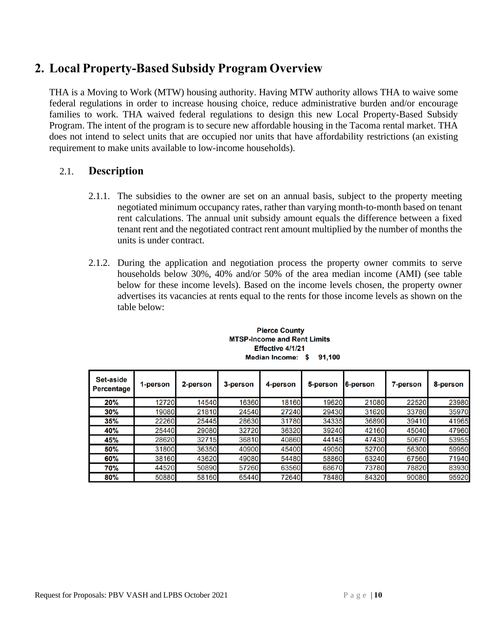# **2. Local Property-Based Subsidy Program Overview**

THA is a Moving to Work (MTW) housing authority. Having MTW authority allows THA to waive some federal regulations in order to increase housing choice, reduce administrative burden and/or encourage families to work. THA waived federal regulations to design this new Local Property-Based Subsidy Program. The intent of the program is to secure new affordable housing in the Tacoma rental market. THA does not intend to select units that are occupied nor units that have affordability restrictions (an existing requirement to make units available to low-income households).

# 2.1. **Description**

- 2.1.1. The subsidies to the owner are set on an annual basis, subject to the property meeting negotiated minimum occupancy rates, rather than varying month-to-month based on tenant rent calculations. The annual unit subsidy amount equals the difference between a fixed tenant rent and the negotiated contract rent amount multiplied by the number of months the units is under contract.
- 2.1.2. During the application and negotiation process the property owner commits to serve households below 30%, 40% and/or 50% of the area median income (AMI) (see table below for these income levels). Based on the income levels chosen, the property owner advertises its vacancies at rents equal to the rents for those income levels as shown on the table below:

| Set-aside<br>Percentage | 1-person | 2-person | 3-person | 4-person | 5-person | 6-person | 7-person | 8-person |
|-------------------------|----------|----------|----------|----------|----------|----------|----------|----------|
| 20%                     | 12720    | 14540    | 16360    | 18160    | 19620    | 21080    | 22520    | 23980    |
| 30%                     | 19080    | 21810    | 24540    | 27240    | 29430    | 31620    | 33780    | 35970    |
| 35%                     | 22260    | 25445    | 28630    | 31780    | 34335    | 36890    | 39410    | 41965    |
| 40%                     | 25440    | 29080    | 32720    | 36320    | 39240    | 42160    | 45040    | 47960    |
| 45%                     | 28620    | 32715    | 36810    | 40860    | 44145    | 47430    | 50670    | 53955    |
| 50%                     | 31800    | 36350    | 40900    | 45400    | 49050    | 52700    | 56300    | 59950    |
| 60%                     | 38160    | 43620    | 49080    | 54480    | 58860    | 63240    | 67560    | 71940    |
| 70%                     | 44520    | 50890    | 57260    | 63560    | 68670    | 73780    | 78820    | 83930    |
| 80%                     | 50880    | 58160    | 65440    | 72640    | 78480    | 84320    | 90080    | 95920    |

#### **Pierce County MTSP-Income and Rent Limits** Effective 4/1/21 Median Income: \$91,100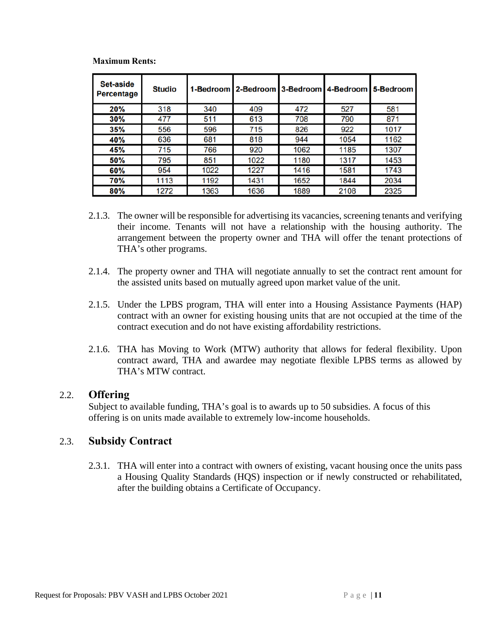| <b>Set-aside</b><br><b>Percentage</b> | <b>Studio</b> | 1-Bedroom |      | 2-Bedroom 3-Bedroom 4-Bedroom |      | 5-Bedroom |
|---------------------------------------|---------------|-----------|------|-------------------------------|------|-----------|
| 20%                                   | 318           | 340       | 409  | 472                           | 527  | 581       |
| 30%                                   | 477           | 511       | 613  | 708                           | 790  | 871       |
| 35%                                   | 556           | 596       | 715  | 826                           | 922  | 1017      |
| 40%                                   | 636           | 681       | 818  | 944                           | 1054 | 1162      |
| 45%                                   | 715           | 766       | 920  | 1062                          | 1185 | 1307      |
| 50%                                   | 795           | 851       | 1022 | 1180                          | 1317 | 1453      |
| 60%                                   | 954           | 1022      | 1227 | 1416                          | 1581 | 1743      |
| 70%                                   | 1113          | 1192      | 1431 | 1652                          | 1844 | 2034      |
| 80%                                   | 1272          | 1363      | 1636 | 1889                          | 2108 | 2325      |

- 2.1.3. The owner will be responsible for advertising its vacancies, screening tenants and verifying their income. Tenants will not have a relationship with the housing authority. The arrangement between the property owner and THA will offer the tenant protections of THA's other programs.
- 2.1.4. The property owner and THA will negotiate annually to set the contract rent amount for the assisted units based on mutually agreed upon market value of the unit.
- 2.1.5. Under the LPBS program, THA will enter into a Housing Assistance Payments (HAP) contract with an owner for existing housing units that are not occupied at the time of the contract execution and do not have existing affordability restrictions.
- 2.1.6. THA has Moving to Work (MTW) authority that allows for federal flexibility. Upon contract award, THA and awardee may negotiate flexible LPBS terms as allowed by THA's MTW contract.

### 2.2. **Offering**

Subject to available funding, THA's goal is to awards up to 50 subsidies. A focus of this offering is on units made available to extremely low-income households.

### 2.3. **Subsidy Contract**

2.3.1. THA will enter into a contract with owners of existing, vacant housing once the units pass a Housing Quality Standards (HQS) inspection or if newly constructed or rehabilitated, after the building obtains a Certificate of Occupancy.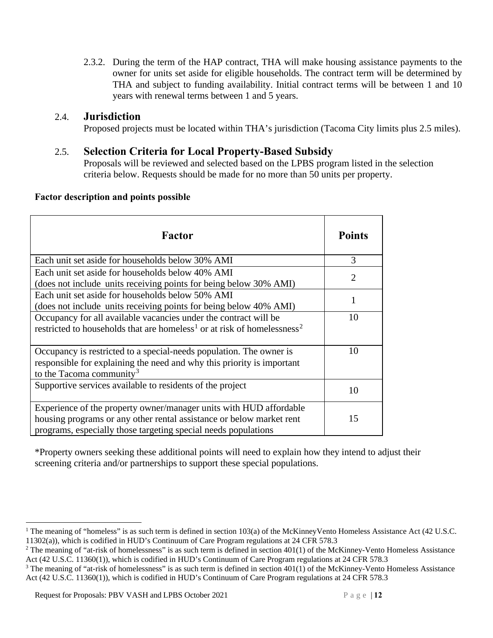2.3.2. During the term of the HAP contract, THA will make housing assistance payments to the owner for units set aside for eligible households. The contract term will be determined by THA and subject to funding availability. Initial contract terms will be between 1 and 10 years with renewal terms between 1 and 5 years.

# 2.4. **Jurisdiction**

Proposed projects must be located within THA's jurisdiction (Tacoma City limits plus 2.5 miles).

# 2.5. **Selection Criteria for Local Property-Based Subsidy**

Proposals will be reviewed and selected based on the LPBS program listed in the selection criteria below. Requests should be made for no more than 50 units per property.

### **Factor description and points possible**

| Factor                                                                                                                                                                                                       | <b>Points</b>  |
|--------------------------------------------------------------------------------------------------------------------------------------------------------------------------------------------------------------|----------------|
| Each unit set aside for households below 30% AMI                                                                                                                                                             | 3              |
| Each unit set aside for households below 40% AMI<br>(does not include units receiving points for being below 30% AMI)                                                                                        | $\overline{2}$ |
| Each unit set aside for households below 50% AMI<br>(does not include units receiving points for being below 40% AMI)                                                                                        |                |
| Occupancy for all available vacancies under the contract will be<br>restricted to households that are homeless <sup>1</sup> or at risk of homelessness <sup>2</sup>                                          | 10             |
| Occupancy is restricted to a special-needs population. The owner is<br>responsible for explaining the need and why this priority is important<br>to the Tacoma community <sup>3</sup>                        | 10             |
| Supportive services available to residents of the project                                                                                                                                                    | 10             |
| Experience of the property owner/manager units with HUD affordable<br>housing programs or any other rental assistance or below market rent<br>programs, especially those targeting special needs populations | 15             |

\*Property owners seeking these additional points will need to explain how they intend to adjust their screening criteria and/or partnerships to support these special populations.

**Request for Proposals: PBV VASH and LPBS October 2021** P a g e | **12** 

<span id="page-10-0"></span><sup>&</sup>lt;sup>1</sup> The meaning of "homeless" is as such term is defined in section 103(a) of the McKinneyVento Homeless Assistance Act (42 U.S.C. 11302(a)), which is codified in HUD's Continuum of Care Program regulations at 24 CFR 578.3

<span id="page-10-1"></span><sup>&</sup>lt;sup>2</sup> The meaning of "at-risk of homelessness" is as such term is defined in section  $401(1)$  of the McKinney-Vento Homeless Assistance Act (42 U.S.C. 11360(1)), which is codified in HUD's Continuum of Care Program regulations at 24 CFR 578.3

<span id="page-10-2"></span> $3$  The meaning of "at-risk of homelessness" is as such term is defined in section  $401(1)$  of the McKinney-Vento Homeless Assistance Act (42 U.S.C. 11360(1)), which is codified in HUD's Continuum of Care Program regulations at 24 CFR 578.3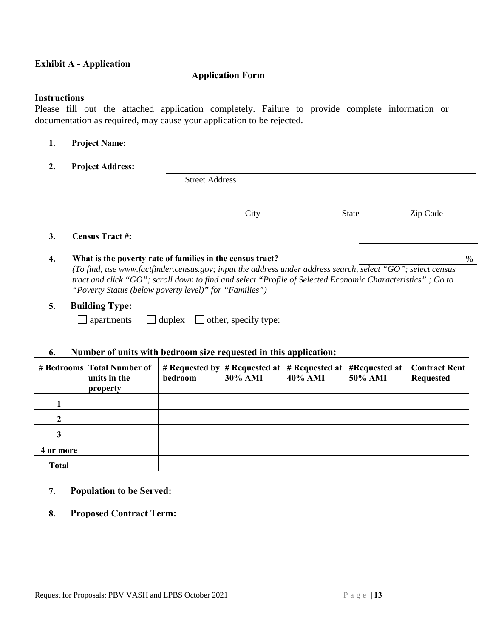### **Exhibit A - Application**

### **Application Form**

### **Instructions**

Please fill out the attached application completely. Failure to provide complete information or documentation as required, may cause your application to be rejected.

| 1. | <b>Project Name:</b>    |                                                           |              |          |   |
|----|-------------------------|-----------------------------------------------------------|--------------|----------|---|
| 2. | <b>Project Address:</b> |                                                           |              |          |   |
|    |                         | <b>Street Address</b>                                     |              |          |   |
|    |                         | City                                                      | <b>State</b> | Zip Code |   |
| 3. | <b>Census Tract #:</b>  |                                                           |              |          |   |
| 4. |                         | What is the poverty rate of families in the census tract? |              |          | % |

*(To find, use [www.factfinder.census.gov;](http://www.factfinder.census.gov/) input the address under address search, select "GO"; select census tract and click "GO"; scroll down to find and select "Profile of Selected Economic Characteristics" ; Go to "Poverty Status (below poverty level)" for "Families")*

### **5. Building Type:**

 $\Box$  apartments  $\Box$  duplex  $\Box$  other, specify type:

#### **6. Number of units with bedroom size requested in this application:**

|              | # Bedrooms Total Number of<br>units in the<br>property | $#$ Requested by<br>bedroom | $30\%$ AMI <sup>+</sup> | $\#$ Requested at $\#$ Requested at $\ $<br>40% AMI | #Requested at<br>50% AMI | <b>Contract Rent</b><br><b>Requested</b> |
|--------------|--------------------------------------------------------|-----------------------------|-------------------------|-----------------------------------------------------|--------------------------|------------------------------------------|
|              |                                                        |                             |                         |                                                     |                          |                                          |
| 2            |                                                        |                             |                         |                                                     |                          |                                          |
|              |                                                        |                             |                         |                                                     |                          |                                          |
| 4 or more    |                                                        |                             |                         |                                                     |                          |                                          |
| <b>Total</b> |                                                        |                             |                         |                                                     |                          |                                          |

### **7. Population to be Served:**

**8. Proposed Contract Term:**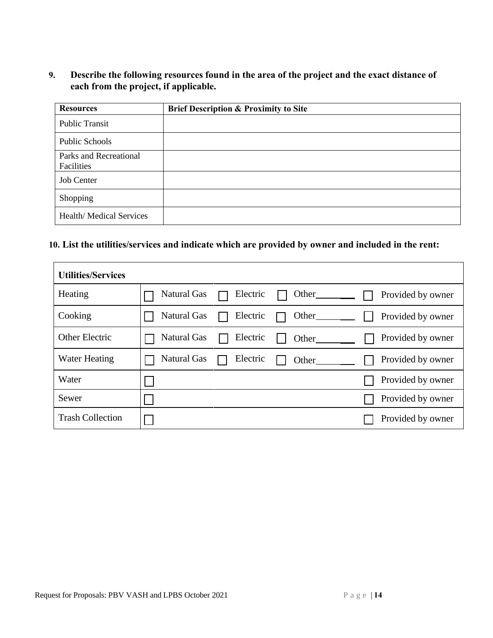**9. Describe the following resources found in the area of the project and the exact distance of each from the project, if applicable.**

| <b>Resources</b>                     | <b>Brief Description &amp; Proximity to Site</b> |
|--------------------------------------|--------------------------------------------------|
| <b>Public Transit</b>                |                                                  |
| <b>Public Schools</b>                |                                                  |
| Parks and Recreational<br>Facilities |                                                  |
| <b>Job Center</b>                    |                                                  |
| Shopping                             |                                                  |
| <b>Health/Medical Services</b>       |                                                  |

### **10. List the utilities/services and indicate which are provided by owner and included in the rent:**

| <b>Utilities/Services</b> |                                          |                   |
|---------------------------|------------------------------------------|-------------------|
| Heating                   | <b>Natural Gas</b><br>Electric<br>Other_ | Provided by owner |
| Cooking                   | <b>Natural Gas</b><br>Other<br>Electric  | Provided by owner |
| <b>Other Electric</b>     | <b>Natural Gas</b><br>Electric<br>Other  | Provided by owner |
| <b>Water Heating</b>      | <b>Natural Gas</b><br>Electric<br>Other  | Provided by owner |
| Water                     |                                          | Provided by owner |
| Sewer                     |                                          | Provided by owner |
| <b>Trash Collection</b>   |                                          | Provided by owner |